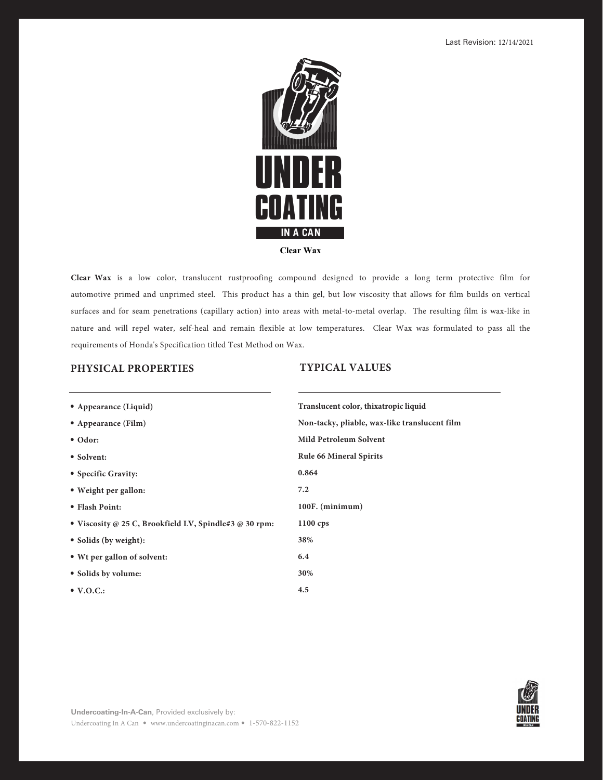

**Clear Wax** is a low color, translucent rustproofing compound designed to provide a long term protective film for automotive primed and unprimed steel. This product has a thin gel, but low viscosity that allows for film builds on vertical surfaces and for seam penetrations (capillary action) into areas with metal-to-metal overlap. The resulting film is wax-like in nature and will repel water, self-heal and remain flexible at low temperatures. Clear Wax was formulated to pass all the requirements of Honda's Specification titled Test Method on Wax.

# **PHYSICAL PROPERTIES**

## **TYPICAL VALUES**

| • Appearance (Liquid)                                  | Translucent color, thixatropic liquid         |
|--------------------------------------------------------|-----------------------------------------------|
| • Appearance (Film)                                    | Non-tacky, pliable, wax-like translucent film |
| $\bullet$ Odor:                                        | <b>Mild Petroleum Solvent</b>                 |
| • Solvent:                                             | <b>Rule 66 Mineral Spirits</b>                |
| • Specific Gravity:                                    | 0.864                                         |
| • Weight per gallon:                                   | 7.2                                           |
| • Flash Point:                                         | 100F. (minimum)                               |
| • Viscosity @ 25 C, Brookfield LV, Spindle#3 @ 30 rpm: | $1100$ cps                                    |
| • Solids (by weight):                                  | 38%                                           |
| • Wt per gallon of solvent:                            | 6.4                                           |
| • Solids by volume:                                    | 30%                                           |
| $\bullet$ V.O.C.:                                      | 4.5                                           |

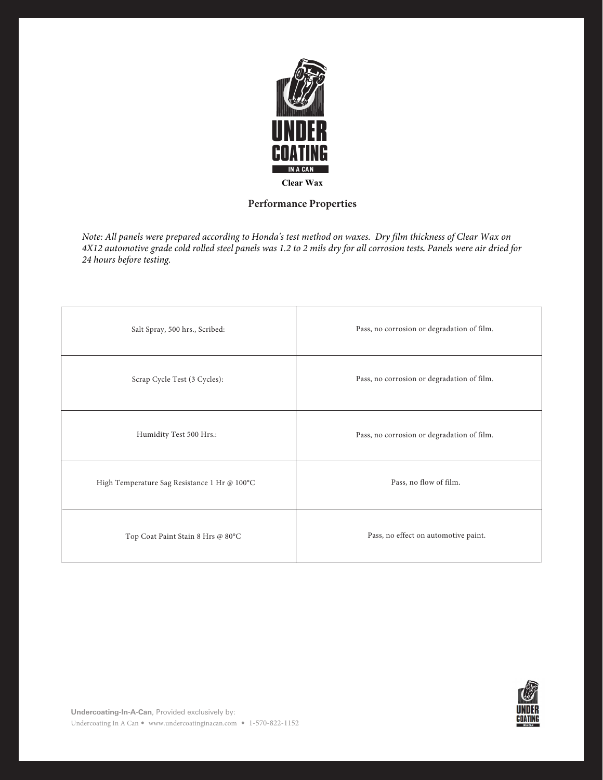

# **Performance Properties**

*Note: All panels were prepared according to Honda's test method on waxes. Dry film thickness of Clear Wax on 4X12 automotive grade cold rolled steel panels was 1.2 to 2 mils dry for all corrosion tests. Panels were air dried for 24 hours before testing.* 

| Salt Spray, 500 hrs., Scribed:               | Pass, no corrosion or degradation of film. |
|----------------------------------------------|--------------------------------------------|
| Scrap Cycle Test (3 Cycles):                 | Pass, no corrosion or degradation of film. |
| Humidity Test 500 Hrs.:                      | Pass, no corrosion or degradation of film. |
| High Temperature Sag Resistance 1 Hr @ 100°C | Pass, no flow of film.                     |
| Top Coat Paint Stain 8 Hrs @ 80°C            | Pass, no effect on automotive paint.       |